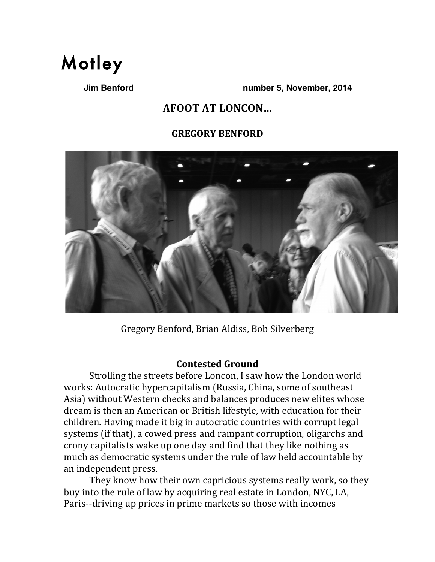

**Jim Benford number 5, November, 2014**

# **AFOOT AT LONCON...**

## **GREGORY%BENFORD**



Gregory Benford, Brian Aldiss, Bob Silverberg

## **Contested%Ground**

Strolling the streets before Loncon, I saw how the London world works: Autocratic hypercapitalism (Russia, China, some of southeast Asia) without Western checks and balances produces new elites whose dream is then an American or British lifestyle, with education for their children. Having made it big in autocratic countries with corrupt legal systems (if that), a cowed press and rampant corruption, oligarchs and crony capitalists wake up one day and find that they like nothing as much as democratic systems under the rule of law held accountable by an independent press.

They know how their own capricious systems really work, so they buy into the rule of law by acquiring real estate in London, NYC, LA, Paris--driving up prices in prime markets so those with incomes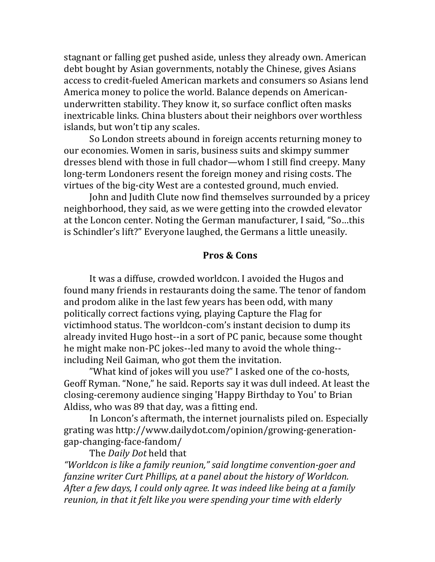stagnant or falling get pushed aside, unless they already own. American debt bought by Asian governments, notably the Chinese, gives Asians access to credit-fueled American markets and consumers so Asians lend America money to police the world. Balance depends on Americanunderwritten stability. They know it, so surface conflict often masks inextricable links. China blusters about their neighbors over worthless islands, but won't tip any scales.

So London streets abound in foreign accents returning money to our economies. Women in saris, business suits and skimpy summer dresses blend with those in full chador—whom I still find creepy. Many long-term Londoners resent the foreign money and rising costs. The virtues of the big-city West are a contested ground, much envied.

John and Judith Clute now find themselves surrounded by a pricey neighborhood, they said, as we were getting into the crowded elevator at the Loncon center. Noting the German manufacturer, I said, "So...this is Schindler's lift?" Everyone laughed, the Germans a little uneasily.

#### Pros & Cons

It was a diffuse, crowded worldcon. I avoided the Hugos and found many friends in restaurants doing the same. The tenor of fandom and prodom alike in the last few years has been odd, with many politically correct factions vying, playing Capture the Flag for victimhood status. The worldcon-com's instant decision to dump its already invited Hugo host--in a sort of PC panic, because some thought he might make non-PC jokes--led many to avoid the whole thing-including Neil Gaiman, who got them the invitation.

"What kind of jokes will you use?" I asked one of the co-hosts, Geoff Ryman. "None," he said. Reports say it was dull indeed. At least the closing-ceremony audience singing 'Happy Birthday to You' to Brian Aldiss, who was 89 that day, was a fitting end.

In Loncon's aftermath, the internet journalists piled on. Especially grating was http://www.dailydot.com/opinion/growing-generationgap-changing-face-fandom/

The Daily Dot held that

"Worldcon is like a family reunion," said longtime convention-goer and fanzine writer Curt Phillips, at a panel about the history of Worldcon. After a few days, I could only agree. It was indeed like being at a family reunion, in that it felt like you were spending your time with elderly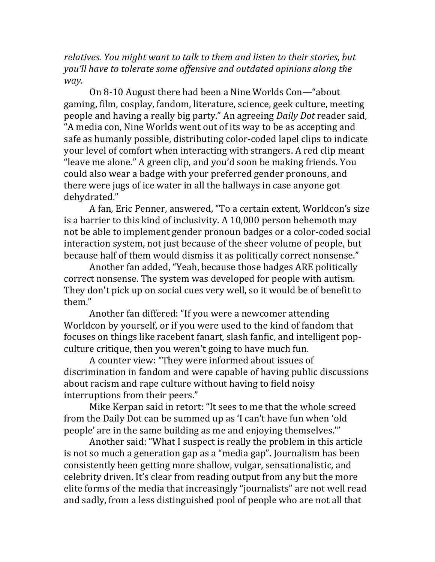*relatives.&You&might&want&to&talk&to&them&and&listen&to&their&stories,&but& you'll have to tolerate some offensive and outdated opinions along the way.*

On 8-10 August there had been a Nine Worlds Con—"about gaming, film, cosplay, fandom, literature, science, geek culture, meeting people and having a really big party." An agreeing *Daily Dot* reader said, "A media con, Nine Worlds went out of its way to be as accepting and safe as humanly possible, distributing color-coded lapel clips to indicate your level of comfort when interacting with strangers. A red clip meant "leave me alone." A green clip, and you'd soon be making friends. You could also wear a badge with your preferred gender pronouns, and there were jugs of ice water in all the hallways in case anyone got dehydrated."

A fan, Eric Penner, answered, "To a certain extent, Worldcon's size is a barrier to this kind of inclusivity. A  $10,000$  person behemoth may not be able to implement gender pronoun badges or a color-coded social interaction system, not just because of the sheer volume of people, but because half of them would dismiss it as politically correct nonsense."

Another fan added, "Yeah, because those badges ARE politically correct nonsense. The system was developed for people with autism. They don't pick up on social cues very well, so it would be of benefit to them."

Another fan differed: "If you were a newcomer attending Worldcon by yourself, or if you were used to the kind of fandom that focuses on things like racebent fanart, slash fanfic, and intelligent popculture critique, then you weren't going to have much fun.

A counter view: "They were informed about issues of discrimination in fandom and were capable of having public discussions about racism and rape culture without having to field noisy interruptions from their peers."

Mike Kerpan said in retort: "It sees to me that the whole screed from the Daily Dot can be summed up as 'I can't have fun when 'old people' are in the same building as me and enjoying themselves."

Another said: "What I suspect is really the problem in this article is not so much a generation gap as a "media gap". Journalism has been consistently been getting more shallow, vulgar, sensationalistic, and celebrity driven. It's clear from reading output from any but the more elite forms of the media that increasingly "journalists" are not well read and sadly, from a less distinguished pool of people who are not all that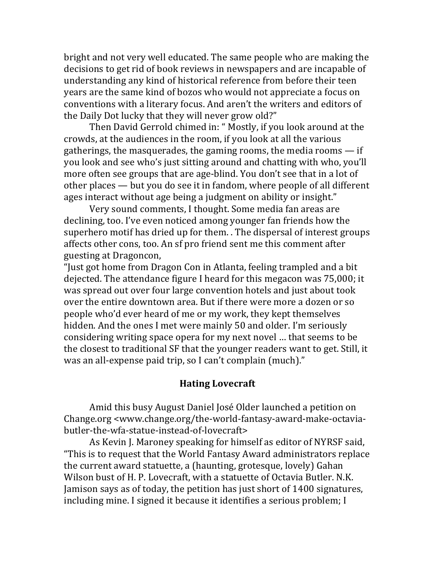bright and not very well educated. The same people who are making the decisions to get rid of book reviews in newspapers and are incapable of understanding any kind of historical reference from before their teen years are the same kind of bozos who would not appreciate a focus on conventions with a literary focus. And aren't the writers and editors of the Daily Dot lucky that they will never grow old?"

Then David Gerrold chimed in: " Mostly, if you look around at the crowds, at the audiences in the room, if you look at all the various gatherings, the masquerades, the gaming rooms, the media rooms  $-$  if you look and see who's just sitting around and chatting with who, you'll more often see groups that are age-blind. You don't see that in a lot of other places — but you do see it in fandom, where people of all different ages interact without age being a judgment on ability or insight."

Very sound comments, I thought. Some media fan areas are declining, too. I've even noticed among younger fan friends how the superhero motif has dried up for them. . The dispersal of interest groups affects other cons, too. An sf pro friend sent me this comment after guesting!at!Dragoncon,

"Just got home from Dragon Con in Atlanta, feeling trampled and a bit dejected. The attendance figure I heard for this megacon was 75,000; it was spread out over four large convention hotels and just about took over the entire downtown area. But if there were more a dozen or so people who'd ever heard of me or my work, they kept themselves hidden. And the ones I met were mainly 50 and older. I'm seriously considering writing space opera for my next novel ... that seems to be the closest to traditional SF that the younger readers want to get. Still, it was an all-expense paid trip, so I can't complain (much)."

#### **Hating Lovecraft**

Amid this busy August Daniel José Older launched a petition on Change.org <www.change.org/the-world-fantasy-award-make-octaviabutler-the-wfa-statue-instead-of-lovecraft>

As Kevin J. Maroney speaking for himself as editor of NYRSF said, "This is to request that the World Fantasy Award administrators replace the current award statuette, a (haunting, grotesque, lovely) Gahan Wilson bust of H. P. Lovecraft, with a statuette of Octavia Butler. N.K. Jamison says as of today, the petition has just short of 1400 signatures, including mine. I signed it because it identifies a serious problem; I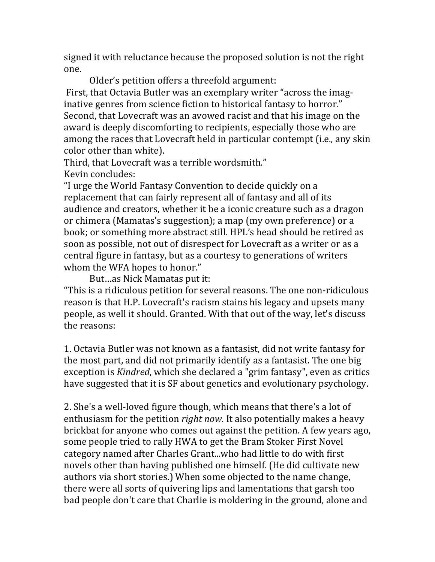signed it with reluctance because the proposed solution is not the right one.

Older's petition offers a threefold argument: First, that Octavia Butler was an exemplary writer "across the imaginative genres from science fiction to historical fantasy to horror." Second, that Lovecraft was an avowed racist and that his image on the award is deeply discomforting to recipients, especially those who are among the races that Lovecraft held in particular contempt (i.e., any skin color other than white).

Third, that Lovecraft was a terrible wordsmith."

Kevin concludes:

"I urge the World Fantasy Convention to decide quickly on a replacement that can fairly represent all of fantasy and all of its audience and creators, whether it be a iconic creature such as a dragon or chimera (Mamatas's suggestion); a map (my own preference) or a book; or something more abstract still. HPL's head should be retired as soon as possible, not out of disrespect for Lovecraft as a writer or as a central figure in fantasy, but as a courtesy to generations of writers whom the WFA hopes to honor."

But...as Nick Mamatas put it:

"This is a ridiculous petition for several reasons. The one non-ridiculous reason is that H.P. Lovecraft's racism stains his legacy and upsets many people, as well it should. Granted. With that out of the way, let's discuss the reasons:

1. Octavia Butler was not known as a fantasist, did not write fantasy for the most part, and did not primarily identify as a fantasist. The one big exception is *Kindred*, which she declared a "grim fantasy", even as critics have suggested that it is SF about genetics and evolutionary psychology.

2. She's a well-loved figure though, which means that there's a lot of enthusiasm for the petition *right now*. It also potentially makes a heavy brickbat for anyone who comes out against the petition. A few years ago, some people tried to rally HWA to get the Bram Stoker First Novel category named after Charles Grant...who had little to do with first novels other than having published one himself. (He did cultivate new authors via short stories.) When some objected to the name change, there were all sorts of quivering lips and lamentations that garsh too bad people don't care that Charlie is moldering in the ground, alone and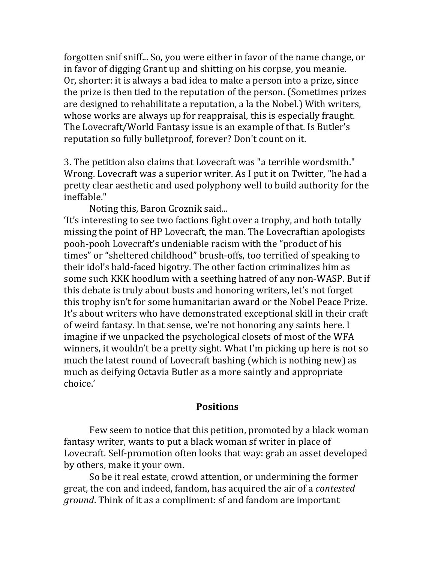forgotten snif sniff... So, you were either in favor of the name change, or in favor of digging Grant up and shitting on his corpse, you meanie. Or, shorter: it is always a bad idea to make a person into a prize, since the prize is then tied to the reputation of the person. (Sometimes prizes are designed to rehabilitate a reputation, a la the Nobel.) With writers, whose works are always up for reappraisal, this is especially fraught. The Lovecraft/World Fantasy issue is an example of that. Is Butler's reputation so fully bulletproof, forever? Don't count on it.

3. The petition also claims that Lovecraft was "a terrible wordsmith." Wrong. Lovecraft was a superior writer. As I put it on Twitter, "he had a pretty clear aesthetic and used polyphony well to build authority for the ineffable."

Noting this, Baron Groznik said...

'It's interesting to see two factions fight over a trophy, and both totally missing the point of HP Lovecraft, the man. The Lovecraftian apologists pooh-pooh Lovecraft's undeniable racism with the "product of his times" or "sheltered childhood" brush-offs, too terrified of speaking to their idol's bald-faced bigotry. The other faction criminalizes him as some such KKK hoodlum with a seething hatred of any non-WASP. But if this debate is truly about busts and honoring writers, let's not forget this trophy isn't for some humanitarian award or the Nobel Peace Prize. It's about writers who have demonstrated exceptional skill in their craft of weird fantasy. In that sense, we're not honoring any saints here. I imagine if we unpacked the psychological closets of most of the WFA winners, it wouldn't be a pretty sight. What I'm picking up here is not so much the latest round of Lovecraft bashing (which is nothing new) as much as deifying Octavia Butler as a more saintly and appropriate choice.'

### **Positions**

Few seem to notice that this petition, promoted by a black woman fantasy writer, wants to put a black woman sf writer in place of Lovecraft. Self-promotion often looks that way: grab an asset developed by others, make it your own.

So be it real estate, crowd attention, or undermining the former great, the con and indeed, fandom, has acquired the air of a *contested* ground. Think of it as a compliment: sf and fandom are important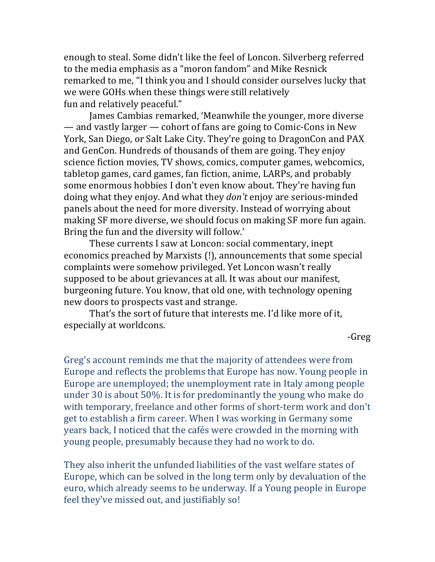enough to steal. Some didn't like the feel of Loncon. Silverberg referred to the media emphasis as a "moron fandom" and Mike Resnick remarked to me, "I think you and I should consider ourselves lucky that we were GOHs when these things were still relatively fun and relatively peaceful."

James Cambias remarked, 'Meanwhile the younger, more diverse — and vastly larger — cohort of fans are going to Comic-Cons in New York, San Diego, or Salt Lake City. They're going to DragonCon and PAX and GenCon. Hundreds of thousands of them are going. They enjoy science fiction movies, TV shows, comics, computer games, webcomics, tabletop games, card games, fan fiction, anime, LARPs, and probably some enormous hobbies I don't even know about. They're having fun doing what they enjoy. And what they *don't* enjoy are serious-minded panels about the need for more diversity. Instead of worrying about making SF more diverse, we should focus on making SF more fun again. Bring the fun and the diversity will follow.'

These currents I saw at Loncon: social commentary, inept economics preached by Marxists (!), announcements that some special complaints were somehow privileged. Yet Loncon wasn't really supposed to be about grievances at all. It was about our manifest, burgeoning future. You know, that old one, with technology opening new doors to prospects vast and strange.

That's the sort of future that interests me. I'd like more of it, especially at worldcons.

LGreg

Greg's account reminds me that the majority of attendees were from Europe and reflects the problems that Europe has now. Young people in Europe are unemployed; the unemployment rate in Italy among people under 30 is about 50%. It is for predominantly the young who make do with temporary, freelance and other forms of short-term work and don't get to establish a firm career. When I was working in Germany some years back, I noticed that the cafés were crowded in the morning with young people, presumably because they had no work to do.

They also inherit the unfunded liabilities of the vast welfare states of Europe, which can be solved in the long term only by devaluation of the euro, which already seems to be underway. If a Young people in Europe feel they've missed out, and justifiably so!